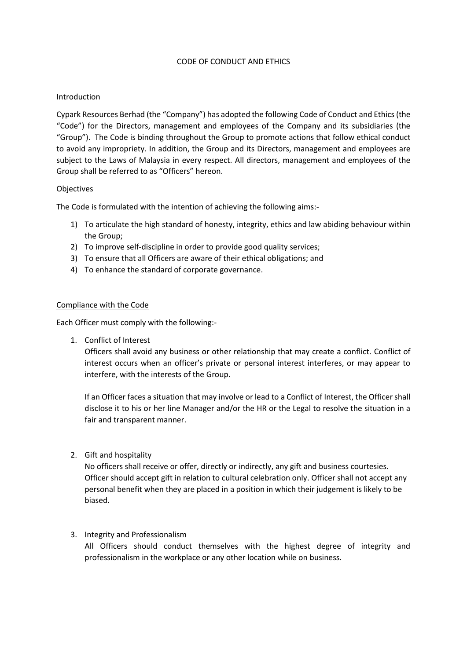#### CODE OF CONDUCT AND ETHICS

### Introduction

Cypark Resources Berhad (the "Company") has adopted the following Code of Conduct and Ethics(the "Code") for the Directors, management and employees of the Company and its subsidiaries (the "Group"). The Code is binding throughout the Group to promote actions that follow ethical conduct to avoid any impropriety. In addition, the Group and its Directors, management and employees are subject to the Laws of Malaysia in every respect. All directors, management and employees of the Group shall be referred to as "Officers" hereon.

#### **Objectives**

The Code is formulated with the intention of achieving the following aims:-

- 1) To articulate the high standard of honesty, integrity, ethics and law abiding behaviour within the Group;
- 2) To improve self-discipline in order to provide good quality services;
- 3) To ensure that all Officers are aware of their ethical obligations; and
- 4) To enhance the standard of corporate governance.

## Compliance with the Code

Each Officer must comply with the following:-

1. Conflict of Interest

Officers shall avoid any business or other relationship that may create a conflict. Conflict of interest occurs when an officer's private or personal interest interferes, or may appear to interfere, with the interests of the Group.

If an Officer faces a situation that may involve or lead to a Conflict of Interest, the Officer shall disclose it to his or her line Manager and/or the HR or the Legal to resolve the situation in a fair and transparent manner.

2. Gift and hospitality

No officers shall receive or offer, directly or indirectly, any gift and business courtesies. Officer should accept gift in relation to cultural celebration only. Officer shall not accept any personal benefit when they are placed in a position in which their judgement is likely to be biased.

# 3. Integrity and Professionalism

All Officers should conduct themselves with the highest degree of integrity and professionalism in the workplace or any other location while on business.